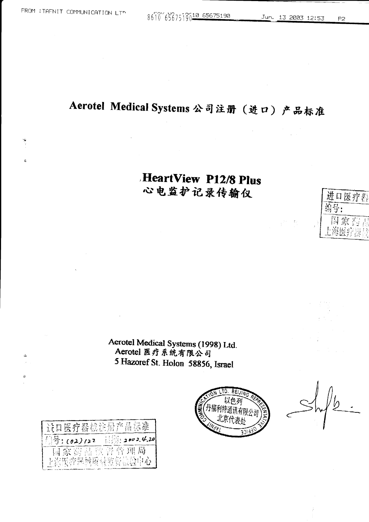q

ò

8610 6567519010 65675190

## Aerotel Medical Systems 公司注册 (进口) 产品标准

## HeartView P12/8 Plus 心电监护记录传输仪

Aerotel Medical Systems (1998) Ltd.<br>Aerotel 医疗系统有限公司 5 Hazoref St. Holon 58856, Israel



进口医疗器

菊号:

国家

| 进口医疗器械注册产品标准   |                         |
|----------------|-------------------------|
| ◎号:(02)/22     | $\frac{1}{2}$ 2002.4.20 |
| 国家药品监督管理局      |                         |
| 上室医旁界越硬量监督检验中心 |                         |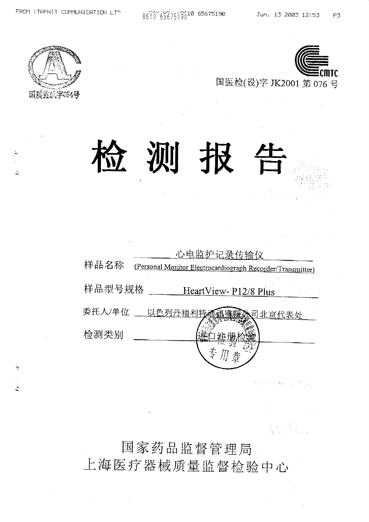8610 6567519010 65675190

(本族)



 $\tilde{\gamma}_L$ 

 $\hat{\mathcal{F}}$ 

ž



测

| 样品名称   | 心电监护记录传输仪<br>(Personal Monitor Electrocardiograph Recorder/Transmitter) |
|--------|-------------------------------------------------------------------------|
| 样品型号规格 | HeartView-P12/8 Plus                                                    |
| 委托人/单位 | 以色列丹福利特通福确履<br><u>、司北京代表处</u>                                           |
| 检测类别   |                                                                         |
|        |                                                                         |

 $\mathbb{E}[\mathcal{A}^{\dagger}_{\mathcal{A}}(N_{\mathcal{A}}^{\dagger})] = \mathbb{E}[\mathbf{x}^{\dagger}_{\mathcal{A}}]$ 

国家药品监督管理局

上海医疗器械质量监督检验中心